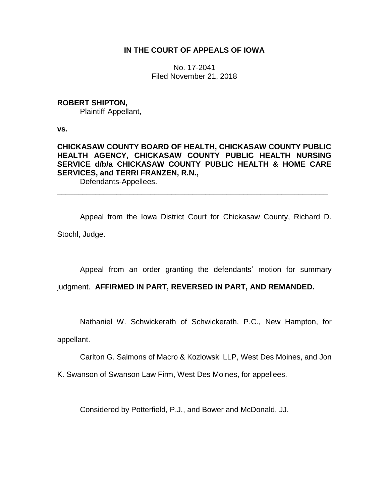## **IN THE COURT OF APPEALS OF IOWA**

No. 17-2041 Filed November 21, 2018

### **ROBERT SHIPTON,**

Plaintiff-Appellant,

**vs.**

# **CHICKASAW COUNTY BOARD OF HEALTH, CHICKASAW COUNTY PUBLIC HEALTH AGENCY, CHICKASAW COUNTY PUBLIC HEALTH NURSING SERVICE d/b/a CHICKASAW COUNTY PUBLIC HEALTH & HOME CARE SERVICES, and TERRI FRANZEN, R.N.,**

\_\_\_\_\_\_\_\_\_\_\_\_\_\_\_\_\_\_\_\_\_\_\_\_\_\_\_\_\_\_\_\_\_\_\_\_\_\_\_\_\_\_\_\_\_\_\_\_\_\_\_\_\_\_\_\_\_\_\_\_\_\_\_\_

Defendants-Appellees.

Appeal from the Iowa District Court for Chickasaw County, Richard D. Stochl, Judge.

Appeal from an order granting the defendants' motion for summary

## judgment. **AFFIRMED IN PART, REVERSED IN PART, AND REMANDED.**

Nathaniel W. Schwickerath of Schwickerath, P.C., New Hampton, for

appellant.

Carlton G. Salmons of Macro & Kozlowski LLP, West Des Moines, and Jon

K. Swanson of Swanson Law Firm, West Des Moines, for appellees.

Considered by Potterfield, P.J., and Bower and McDonald, JJ.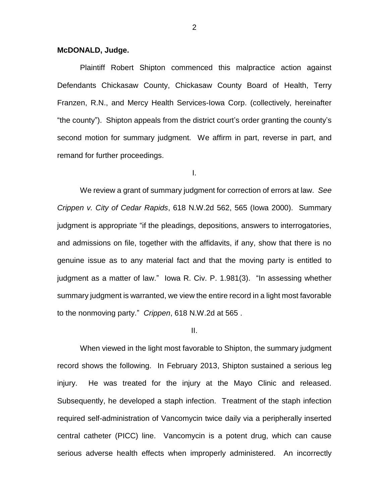#### **McDONALD, Judge.**

Plaintiff Robert Shipton commenced this malpractice action against Defendants Chickasaw County, Chickasaw County Board of Health, Terry Franzen, R.N., and Mercy Health Services-Iowa Corp. (collectively, hereinafter "the county"). Shipton appeals from the district court's order granting the county's second motion for summary judgment. We affirm in part, reverse in part, and remand for further proceedings.

I.

We review a grant of summary judgment for correction of errors at law. *See Crippen v. City of Cedar Rapids*, 618 N.W.2d 562, 565 (Iowa 2000). Summary judgment is appropriate "if the pleadings, depositions, answers to interrogatories, and admissions on file, together with the affidavits, if any, show that there is no genuine issue as to any material fact and that the moving party is entitled to judgment as a matter of law." Iowa R. Civ. P. 1.981(3). "In assessing whether summary judgment is warranted, we view the entire record in a light most favorable to the nonmoving party." *Crippen*, 618 N.W.2d at 565 .

#### II.

When viewed in the light most favorable to Shipton, the summary judgment record shows the following. In February 2013, Shipton sustained a serious leg injury. He was treated for the injury at the Mayo Clinic and released. Subsequently, he developed a staph infection. Treatment of the staph infection required self-administration of Vancomycin twice daily via a peripherally inserted central catheter (PICC) line. Vancomycin is a potent drug, which can cause serious adverse health effects when improperly administered. An incorrectly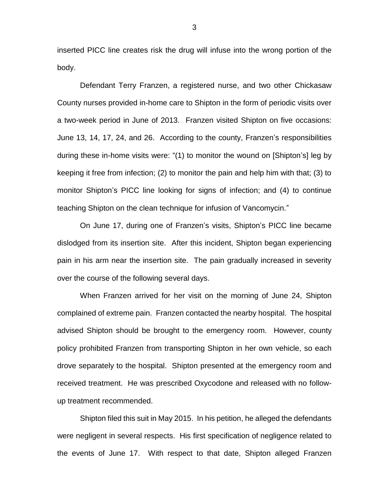inserted PICC line creates risk the drug will infuse into the wrong portion of the body.

Defendant Terry Franzen, a registered nurse, and two other Chickasaw County nurses provided in-home care to Shipton in the form of periodic visits over a two-week period in June of 2013. Franzen visited Shipton on five occasions: June 13, 14, 17, 24, and 26. According to the county, Franzen's responsibilities during these in-home visits were: "(1) to monitor the wound on [Shipton's] leg by keeping it free from infection; (2) to monitor the pain and help him with that; (3) to monitor Shipton's PICC line looking for signs of infection; and (4) to continue teaching Shipton on the clean technique for infusion of Vancomycin."

On June 17, during one of Franzen's visits, Shipton's PICC line became dislodged from its insertion site. After this incident, Shipton began experiencing pain in his arm near the insertion site. The pain gradually increased in severity over the course of the following several days.

When Franzen arrived for her visit on the morning of June 24, Shipton complained of extreme pain. Franzen contacted the nearby hospital. The hospital advised Shipton should be brought to the emergency room. However, county policy prohibited Franzen from transporting Shipton in her own vehicle, so each drove separately to the hospital. Shipton presented at the emergency room and received treatment. He was prescribed Oxycodone and released with no followup treatment recommended.

Shipton filed this suit in May 2015. In his petition, he alleged the defendants were negligent in several respects. His first specification of negligence related to the events of June 17. With respect to that date, Shipton alleged Franzen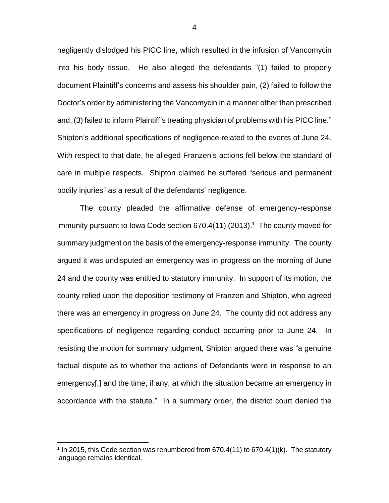negligently dislodged his PICC line, which resulted in the infusion of Vancomycin into his body tissue. He also alleged the defendants "(1) failed to properly document Plaintiff's concerns and assess his shoulder pain, (2) failed to follow the Doctor's order by administering the Vancomycin in a manner other than prescribed and, (3) failed to inform Plaintiff's treating physician of problems with his PICC line." Shipton's additional specifications of negligence related to the events of June 24. With respect to that date, he alleged Franzen's actions fell below the standard of care in multiple respects. Shipton claimed he suffered "serious and permanent bodily injuries" as a result of the defendants' negligence.

The county pleaded the affirmative defense of emergency-response immunity pursuant to lowa Code section  $670.4(11)$   $(2013).<sup>1</sup>$  The county moved for summary judgment on the basis of the emergency-response immunity. The county argued it was undisputed an emergency was in progress on the morning of June 24 and the county was entitled to statutory immunity. In support of its motion, the county relied upon the deposition testimony of Franzen and Shipton, who agreed there was an emergency in progress on June 24. The county did not address any specifications of negligence regarding conduct occurring prior to June 24. In resisting the motion for summary judgment, Shipton argued there was "a genuine factual dispute as to whether the actions of Defendants were in response to an emergency[,] and the time, if any, at which the situation became an emergency in accordance with the statute." In a summary order, the district court denied the

 $\overline{a}$ 

<sup>&</sup>lt;sup>1</sup> In 2015, this Code section was renumbered from  $670.4(11)$  to  $670.4(1)(k)$ . The statutory language remains identical.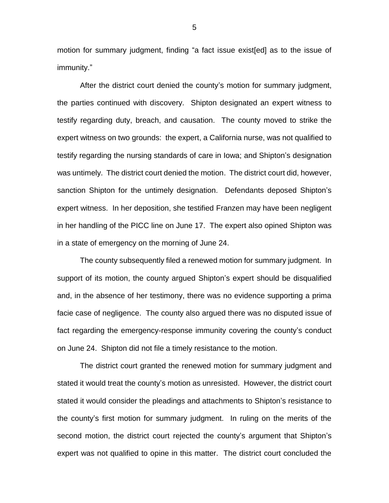motion for summary judgment, finding "a fact issue exist[ed] as to the issue of immunity."

After the district court denied the county's motion for summary judgment, the parties continued with discovery. Shipton designated an expert witness to testify regarding duty, breach, and causation. The county moved to strike the expert witness on two grounds: the expert, a California nurse, was not qualified to testify regarding the nursing standards of care in Iowa; and Shipton's designation was untimely. The district court denied the motion. The district court did, however, sanction Shipton for the untimely designation. Defendants deposed Shipton's expert witness. In her deposition, she testified Franzen may have been negligent in her handling of the PICC line on June 17. The expert also opined Shipton was in a state of emergency on the morning of June 24.

The county subsequently filed a renewed motion for summary judgment. In support of its motion, the county argued Shipton's expert should be disqualified and, in the absence of her testimony, there was no evidence supporting a prima facie case of negligence. The county also argued there was no disputed issue of fact regarding the emergency-response immunity covering the county's conduct on June 24. Shipton did not file a timely resistance to the motion.

The district court granted the renewed motion for summary judgment and stated it would treat the county's motion as unresisted. However, the district court stated it would consider the pleadings and attachments to Shipton's resistance to the county's first motion for summary judgment. In ruling on the merits of the second motion, the district court rejected the county's argument that Shipton's expert was not qualified to opine in this matter. The district court concluded the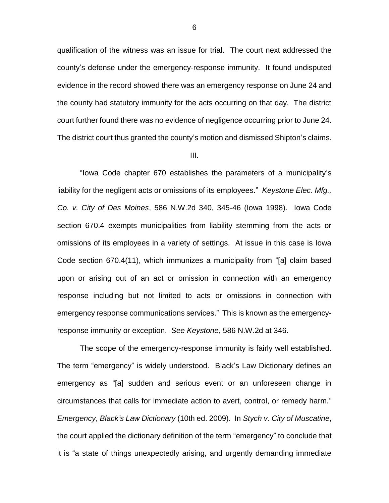qualification of the witness was an issue for trial. The court next addressed the county's defense under the emergency-response immunity. It found undisputed evidence in the record showed there was an emergency response on June 24 and the county had statutory immunity for the acts occurring on that day. The district court further found there was no evidence of negligence occurring prior to June 24. The district court thus granted the county's motion and dismissed Shipton's claims.

#### III.

"Iowa Code chapter 670 establishes the parameters of a municipality's liability for the negligent acts or omissions of its employees." *Keystone Elec. Mfg., Co. v. City of Des Moines*, 586 N.W.2d 340, 345-46 (Iowa 1998). Iowa Code section 670.4 exempts municipalities from liability stemming from the acts or omissions of its employees in a variety of settings. At issue in this case is Iowa Code section 670.4(11), which immunizes a municipality from "[a] claim based upon or arising out of an act or omission in connection with an emergency response including but not limited to acts or omissions in connection with emergency response communications services." This is known as the emergencyresponse immunity or exception. *See Keystone*, 586 N.W.2d at 346.

The scope of the emergency-response immunity is fairly well established. The term "emergency" is widely understood. Black's Law Dictionary defines an emergency as "[a] sudden and serious event or an unforeseen change in circumstances that calls for immediate action to avert, control, or remedy harm." *Emergency*, *Black's Law Dictionary* (10th ed. 2009). In *Stych v. City of Muscatine*, the court applied the dictionary definition of the term "emergency" to conclude that it is "a state of things unexpectedly arising, and urgently demanding immediate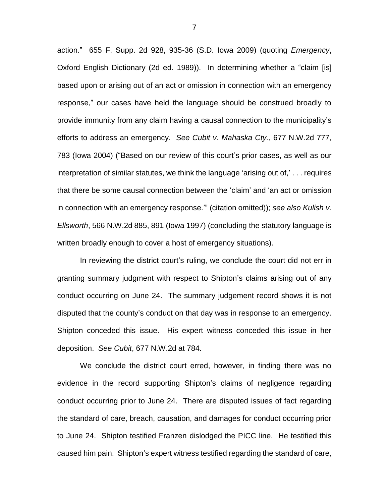action." 655 F. Supp. 2d 928, 935-36 (S.D. Iowa 2009) (quoting *Emergency*, Oxford English Dictionary (2d ed. 1989)). In determining whether a "claim [is] based upon or arising out of an act or omission in connection with an emergency response," our cases have held the language should be construed broadly to provide immunity from any claim having a causal connection to the municipality's efforts to address an emergency. *See Cubit v. Mahaska Cty.*, 677 N.W.2d 777, 783 (Iowa 2004) ("Based on our review of this court's prior cases, as well as our interpretation of similar statutes, we think the language 'arising out of,' . . . requires that there be some causal connection between the 'claim' and 'an act or omission in connection with an emergency response.'" (citation omitted)); *see also Kulish v. Ellsworth*, 566 N.W.2d 885, 891 (Iowa 1997) (concluding the statutory language is written broadly enough to cover a host of emergency situations).

In reviewing the district court's ruling, we conclude the court did not err in granting summary judgment with respect to Shipton's claims arising out of any conduct occurring on June 24. The summary judgement record shows it is not disputed that the county's conduct on that day was in response to an emergency. Shipton conceded this issue. His expert witness conceded this issue in her deposition. *See Cubit*, 677 N.W.2d at 784.

We conclude the district court erred, however, in finding there was no evidence in the record supporting Shipton's claims of negligence regarding conduct occurring prior to June 24. There are disputed issues of fact regarding the standard of care, breach, causation, and damages for conduct occurring prior to June 24. Shipton testified Franzen dislodged the PICC line. He testified this caused him pain. Shipton's expert witness testified regarding the standard of care,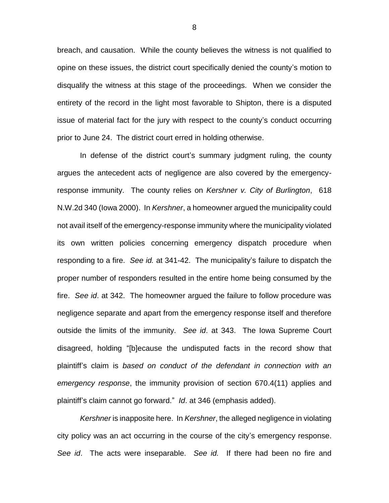breach, and causation. While the county believes the witness is not qualified to opine on these issues, the district court specifically denied the county's motion to disqualify the witness at this stage of the proceedings. When we consider the entirety of the record in the light most favorable to Shipton, there is a disputed issue of material fact for the jury with respect to the county's conduct occurring prior to June 24. The district court erred in holding otherwise.

In defense of the district court's summary judgment ruling, the county argues the antecedent acts of negligence are also covered by the emergencyresponse immunity. The county relies on *Kershner v. City of Burlington*, 618 N.W.2d 340 (Iowa 2000). In *Kershner*, a homeowner argued the municipality could not avail itself of the emergency-response immunity where the municipality violated its own written policies concerning emergency dispatch procedure when responding to a fire. *See id.* at 341-42. The municipality's failure to dispatch the proper number of responders resulted in the entire home being consumed by the fire. *See id*. at 342. The homeowner argued the failure to follow procedure was negligence separate and apart from the emergency response itself and therefore outside the limits of the immunity. *See id*. at 343. The Iowa Supreme Court disagreed, holding "[b]ecause the undisputed facts in the record show that plaintiff's claim is *based on conduct of the defendant in connection with an emergency response*, the immunity provision of section 670.4(11) applies and plaintiff's claim cannot go forward." *Id*. at 346 (emphasis added).

*Kershner* is inapposite here. In *Kershner*, the alleged negligence in violating city policy was an act occurring in the course of the city's emergency response. *See id*. The acts were inseparable. *See id.* If there had been no fire and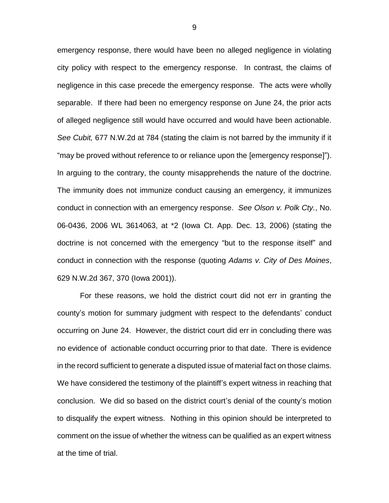emergency response, there would have been no alleged negligence in violating city policy with respect to the emergency response. In contrast, the claims of negligence in this case precede the emergency response. The acts were wholly separable. If there had been no emergency response on June 24, the prior acts of alleged negligence still would have occurred and would have been actionable. *See Cubit,* 677 N.W.2d at 784 (stating the claim is not barred by the immunity if it "may be proved without reference to or reliance upon the [emergency response]"). In arguing to the contrary, the county misapprehends the nature of the doctrine. The immunity does not immunize conduct causing an emergency, it immunizes conduct in connection with an emergency response. *See Olson v. Polk Cty.*, No. 06-0436, 2006 WL 3614063, at \*2 (Iowa Ct. App. Dec. 13, 2006) (stating the doctrine is not concerned with the emergency "but to the response itself" and conduct in connection with the response (quoting *Adams v. City of Des Moines*, 629 N.W.2d 367, 370 (Iowa 2001)).

For these reasons, we hold the district court did not err in granting the county's motion for summary judgment with respect to the defendants' conduct occurring on June 24. However, the district court did err in concluding there was no evidence of actionable conduct occurring prior to that date. There is evidence in the record sufficient to generate a disputed issue of material fact on those claims. We have considered the testimony of the plaintiff's expert witness in reaching that conclusion. We did so based on the district court's denial of the county's motion to disqualify the expert witness. Nothing in this opinion should be interpreted to comment on the issue of whether the witness can be qualified as an expert witness at the time of trial.